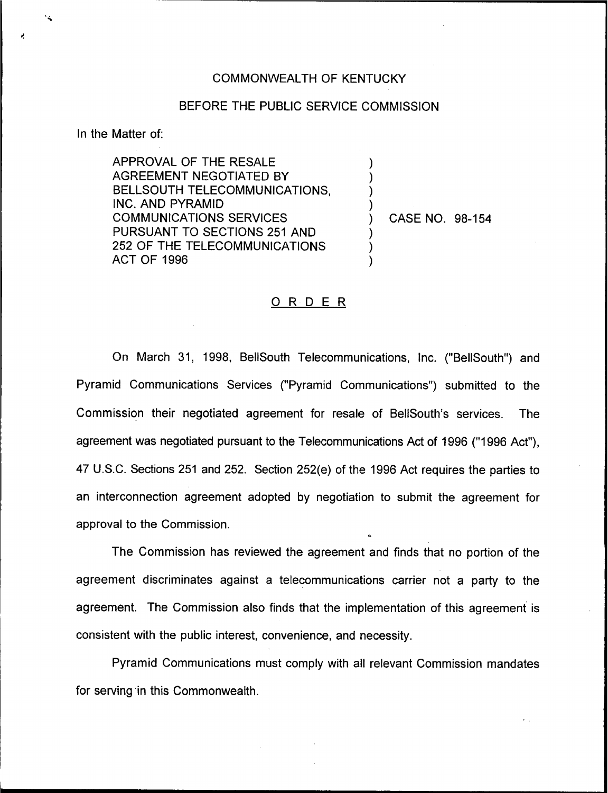## COMMONWEALTH OF KENTUCKY

## BEFORE THE PUBLIC SERVICE COMMISSION

) ) ) )

) ) )

In the Matter of:

APPROVAL OF THE RESALE AGREEMENT NEGOTIATED BY BELLSOUTH TELECOMMUNICATIONS, INC. AND PYRAMID COMMUNICATIONS SERVICES PURSUANT TO SECTIONS 251 AND 252 OF THE TELECOMMUNICATIONS ACT OF 1996

) CASE NO. 98-154

## 0 <sup>R</sup> <sup>D</sup> <sup>E</sup> <sup>R</sup>

On March 31, 1998, BellSouth Telecommunications, Inc. ("BellSouth") and Pyramid Communications Services ("Pyramid Communications") submitted to the Commission their negotiated agreement for resale of BellSouth's services. The agreement was negotiated pursuant to the Telecommunications Act of 1996 ("1996 Act"), 47 U.S.C. Sections 251 and 252. Section 252(e) of the 1996 Act requires the parties to an interconnection agreement adopted by negotiation to submit the agreement for approval to the Commission.

The Commission has reviewed the agreement and finds that no portion of the agreement discriminates against a telecommunications carrier not a party to the agreement. The Commission also finds that the implementation of this agreement is consistent with the public interest, convenience, and necessity.

Pyramid Communications must comply with all relevant Commission mandates for serving in this Commonwealth.